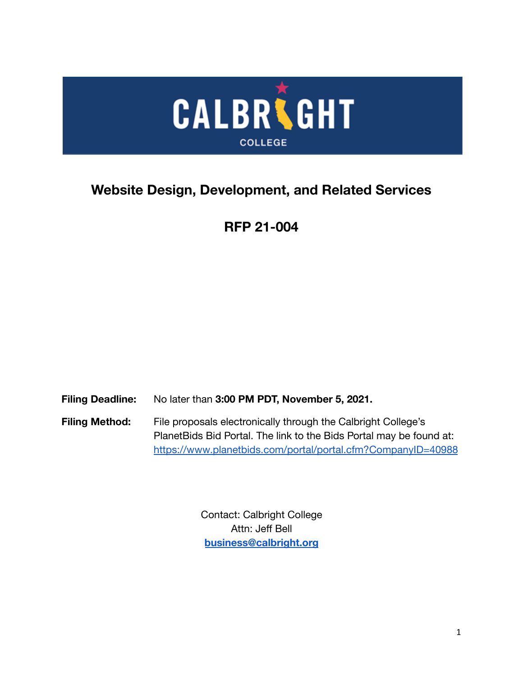

# **Website Design, Development, and Related Services**

# **RFP 21-004**

**Filing Deadline:** No later than **3:00 PM PDT, November 5, 2021.**

Filing Method: File proposals electronically through the Calbright College's PlanetBids Bid Portal. The link to the Bids Portal may be found at: <https://www.planetbids.com/portal/portal.cfm?CompanyID=40988>

> Contact: Calbright College Attn: Jeff Bell **[business@calbright.org](mailto:business@calbright.org)**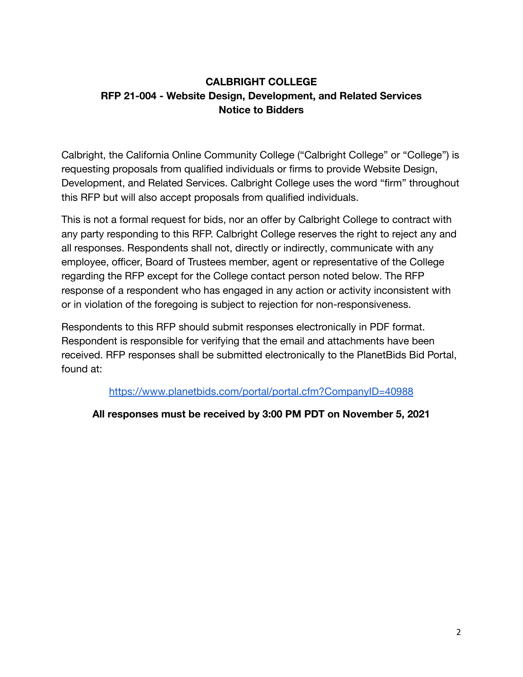# **CALBRIGHT COLLEGE RFP 21-004 - Website Design, Development, and Related Services Notice to Bidders**

Calbright, the California Online Community College ("Calbright College" or "College") is requesting proposals from qualified individuals or firms to provide Website Design, Development, and Related Services. Calbright College uses the word "firm" throughout this RFP but will also accept proposals from qualified individuals.

This is not a formal request for bids, nor an offer by Calbright College to contract with any party responding to this RFP. Calbright College reserves the right to reject any and all responses. Respondents shall not, directly or indirectly, communicate with any employee, officer, Board of Trustees member, agent or representative of the College regarding the RFP except for the College contact person noted below. The RFP response of a respondent who has engaged in any action or activity inconsistent with or in violation of the foregoing is subject to rejection for non-responsiveness.

Respondents to this RFP should submit responses electronically in PDF format. Respondent is responsible for verifying that the email and attachments have been received. RFP responses shall be submitted electronically to the PlanetBids Bid Portal, found at:

<https://www.planetbids.com/portal/portal.cfm?CompanyID=40988>

# **All responses must be received by 3:00 PM PDT on November 5, 2021**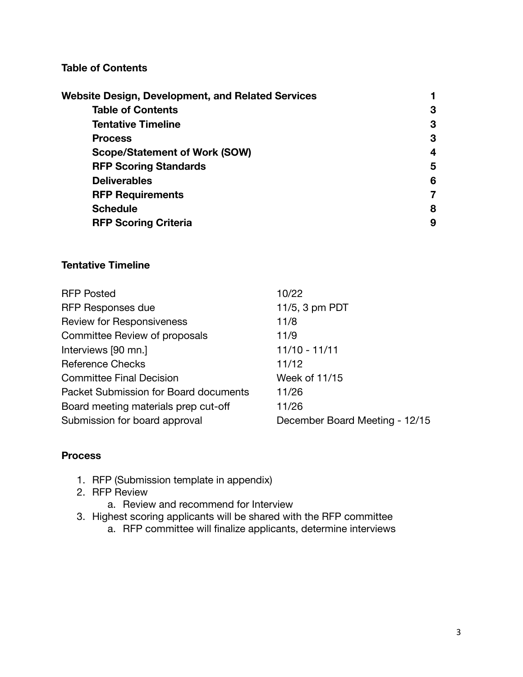## **Table of Contents**

| Website Design, Development, and Related Services |   |
|---------------------------------------------------|---|
| <b>Table of Contents</b>                          | 3 |
| <b>Tentative Timeline</b>                         | 3 |
| <b>Process</b>                                    | 3 |
| <b>Scope/Statement of Work (SOW)</b>              | 4 |
| <b>RFP Scoring Standards</b>                      | 5 |
| <b>Deliverables</b>                               | 6 |
| <b>RFP Requirements</b>                           | 7 |
| <b>Schedule</b>                                   | 8 |
| <b>RFP Scoring Criteria</b>                       | 9 |

#### **Tentative Timeline**

| <b>RFP Posted</b>                     | 10/22                          |
|---------------------------------------|--------------------------------|
| <b>RFP Responses due</b>              | 11/5, 3 pm PDT                 |
| <b>Review for Responsiveness</b>      | 11/8                           |
| Committee Review of proposals         | 11/9                           |
| Interviews [90 mn.]                   | 11/10 - 11/11                  |
| <b>Reference Checks</b>               | 11/12                          |
| <b>Committee Final Decision</b>       | Week of 11/15                  |
| Packet Submission for Board documents | 11/26                          |
| Board meeting materials prep cut-off  | 11/26                          |
| Submission for board approval         | December Board Meeting - 12/15 |

#### **Process**

- 1. RFP (Submission template in appendix)
- 2. RFP Review
	- a. Review and recommend for Interview
- 3. Highest scoring applicants will be shared with the RFP committee
	- a. RFP committee will finalize applicants, determine interviews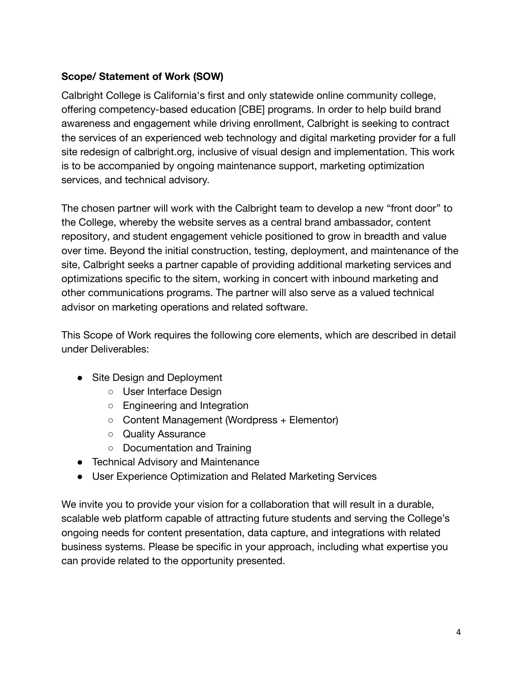# **Scope/ Statement of Work (SOW)**

Calbright College is California's first and only statewide online community college, offering competency-based education [CBE] programs. In order to help build brand awareness and engagement while driving enrollment, Calbright is seeking to contract the services of an experienced web technology and digital marketing provider for a full site redesign of calbright.org, inclusive of visual design and implementation. This work is to be accompanied by ongoing maintenance support, marketing optimization services, and technical advisory.

The chosen partner will work with the Calbright team to develop a new "front door" to the College, whereby the website serves as a central brand ambassador, content repository, and student engagement vehicle positioned to grow in breadth and value over time. Beyond the initial construction, testing, deployment, and maintenance of the site, Calbright seeks a partner capable of providing additional marketing services and optimizations specific to the sitem, working in concert with inbound marketing and other communications programs. The partner will also serve as a valued technical advisor on marketing operations and related software.

This Scope of Work requires the following core elements, which are described in detail under Deliverables:

- Site Design and Deployment
	- User Interface Design
	- Engineering and Integration
	- Content Management (Wordpress + Elementor)
	- Quality Assurance
	- Documentation and Training
- Technical Advisory and Maintenance
- User Experience Optimization and Related Marketing Services

We invite you to provide your vision for a collaboration that will result in a durable, scalable web platform capable of attracting future students and serving the College's ongoing needs for content presentation, data capture, and integrations with related business systems. Please be specific in your approach, including what expertise you can provide related to the opportunity presented.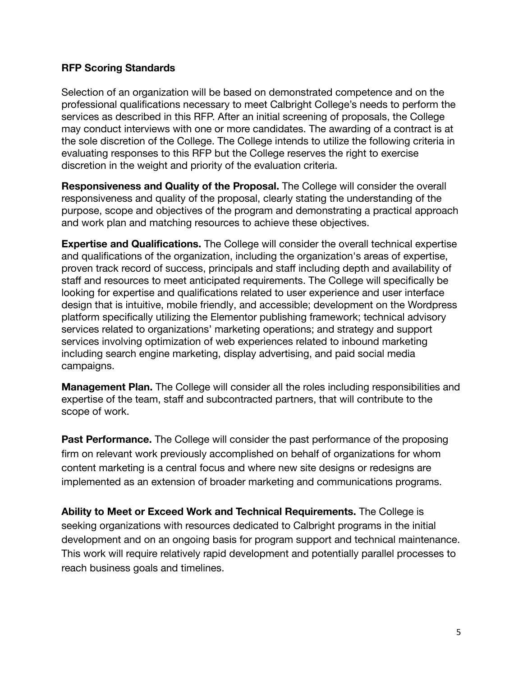#### **RFP Scoring Standards**

Selection of an organization will be based on demonstrated competence and on the professional qualifications necessary to meet Calbright College's needs to perform the services as described in this RFP. After an initial screening of proposals, the College may conduct interviews with one or more candidates. The awarding of a contract is at the sole discretion of the College. The College intends to utilize the following criteria in evaluating responses to this RFP but the College reserves the right to exercise discretion in the weight and priority of the evaluation criteria.

**Responsiveness and Quality of the Proposal.** The College will consider the overall responsiveness and quality of the proposal, clearly stating the understanding of the purpose, scope and objectives of the program and demonstrating a practical approach and work plan and matching resources to achieve these objectives.

**Expertise and Qualifications.** The College will consider the overall technical expertise and qualifications of the organization, including the organization's areas of expertise, proven track record of success, principals and staff including depth and availability of staff and resources to meet anticipated requirements. The College will specifically be looking for expertise and qualifications related to user experience and user interface design that is intuitive, mobile friendly, and accessible; development on the Wordpress platform specifically utilizing the Elementor publishing framework; technical advisory services related to organizations' marketing operations; and strategy and support services involving optimization of web experiences related to inbound marketing including search engine marketing, display advertising, and paid social media campaigns.

**Management Plan.** The College will consider all the roles including responsibilities and expertise of the team, staff and subcontracted partners, that will contribute to the scope of work.

**Past Performance.** The College will consider the past performance of the proposing firm on relevant work previously accomplished on behalf of organizations for whom content marketing is a central focus and where new site designs or redesigns are implemented as an extension of broader marketing and communications programs.

**Ability to Meet or Exceed Work and Technical Requirements.** The College is seeking organizations with resources dedicated to Calbright programs in the initial development and on an ongoing basis for program support and technical maintenance. This work will require relatively rapid development and potentially parallel processes to reach business goals and timelines.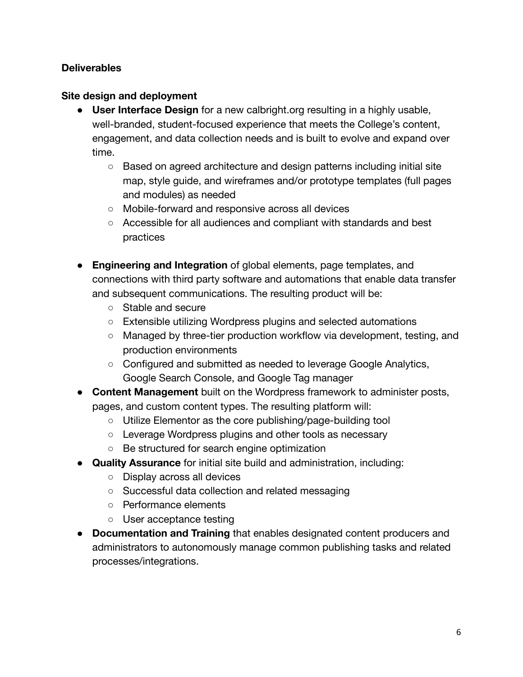## **Deliverables**

## **Site design and deployment**

- **User Interface Design** for a new calbright.org resulting in a highly usable, well-branded, student-focused experience that meets the College's content, engagement, and data collection needs and is built to evolve and expand over time.
	- Based on agreed architecture and design patterns including initial site map, style guide, and wireframes and/or prototype templates (full pages and modules) as needed
	- Mobile-forward and responsive across all devices
	- Accessible for all audiences and compliant with standards and best practices
- **Engineering and Integration** of global elements, page templates, and connections with third party software and automations that enable data transfer and subsequent communications. The resulting product will be:
	- Stable and secure
	- Extensible utilizing Wordpress plugins and selected automations
	- Managed by three-tier production workflow via development, testing, and production environments
	- Configured and submitted as needed to leverage Google Analytics, Google Search Console, and Google Tag manager
- **Content Management** built on the Wordpress framework to administer posts, pages, and custom content types. The resulting platform will:
	- Utilize Elementor as the core publishing/page-building tool
	- Leverage Wordpress plugins and other tools as necessary
	- Be structured for search engine optimization
- **Quality Assurance** for initial site build and administration, including:
	- Display across all devices
	- Successful data collection and related messaging
	- Performance elements
	- User acceptance testing
- **Documentation and Training** that enables designated content producers and administrators to autonomously manage common publishing tasks and related processes/integrations.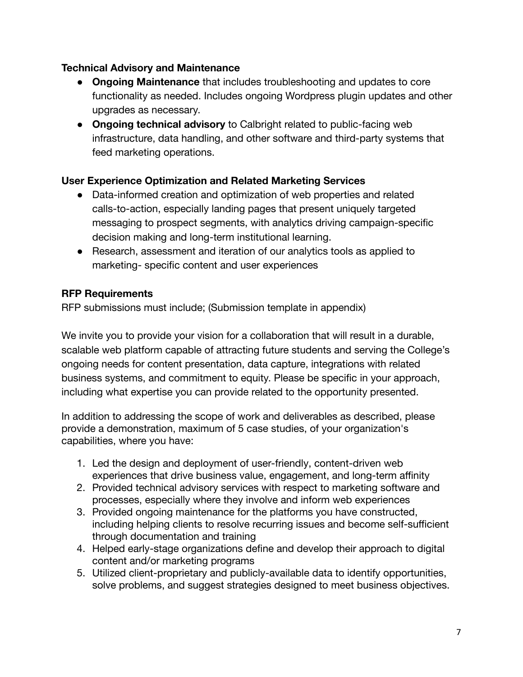## **Technical Advisory and Maintenance**

- **Ongoing Maintenance** that includes troubleshooting and updates to core functionality as needed. Includes ongoing Wordpress plugin updates and other upgrades as necessary.
- **Ongoing technical advisory** to Calbright related to public-facing web infrastructure, data handling, and other software and third-party systems that feed marketing operations.

## **User Experience Optimization and Related Marketing Services**

- Data-informed creation and optimization of web properties and related calls-to-action, especially landing pages that present uniquely targeted messaging to prospect segments, with analytics driving campaign-specific decision making and long-term institutional learning.
- Research, assessment and iteration of our analytics tools as applied to marketing- specific content and user experiences

## **RFP Requirements**

RFP submissions must include; (Submission template in appendix)

We invite you to provide your vision for a collaboration that will result in a durable, scalable web platform capable of attracting future students and serving the College's ongoing needs for content presentation, data capture, integrations with related business systems, and commitment to equity. Please be specific in your approach, including what expertise you can provide related to the opportunity presented.

In addition to addressing the scope of work and deliverables as described, please provide a demonstration, maximum of 5 case studies, of your organization's capabilities, where you have:

- 1. Led the design and deployment of user-friendly, content-driven web experiences that drive business value, engagement, and long-term affinity
- 2. Provided technical advisory services with respect to marketing software and processes, especially where they involve and inform web experiences
- 3. Provided ongoing maintenance for the platforms you have constructed, including helping clients to resolve recurring issues and become self-sufficient through documentation and training
- 4. Helped early-stage organizations define and develop their approach to digital content and/or marketing programs
- 5. Utilized client-proprietary and publicly-available data to identify opportunities, solve problems, and suggest strategies designed to meet business objectives.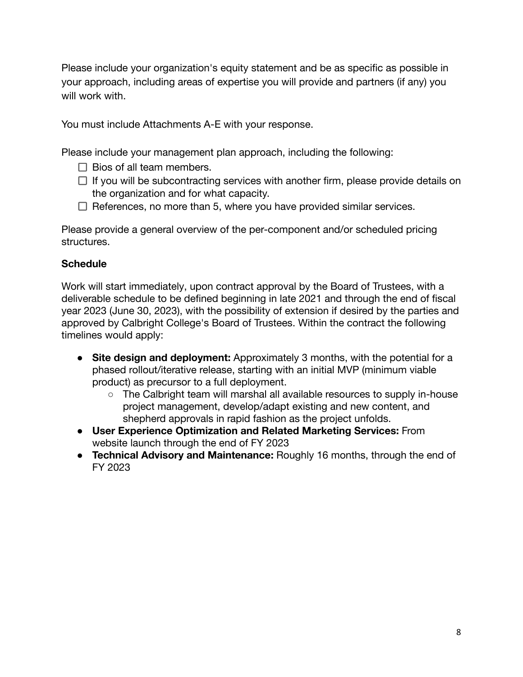Please include your organization's equity statement and be as specific as possible in your approach, including areas of expertise you will provide and partners (if any) you will work with.

You must include Attachments A-E with your response.

Please include your management plan approach, including the following:

- $\Box$  Bios of all team members.
- $\Box$  If you will be subcontracting services with another firm, please provide details on the organization and for what capacity.
- $\Box$  References, no more than 5, where you have provided similar services.

Please provide a general overview of the per-component and/or scheduled pricing structures.

## **Schedule**

Work will start immediately, upon contract approval by the Board of Trustees, with a deliverable schedule to be defined beginning in late 2021 and through the end of fiscal year 2023 (June 30, 2023), with the possibility of extension if desired by the parties and approved by Calbright College's Board of Trustees. Within the contract the following timelines would apply:

- **Site design and deployment:** Approximately 3 months, with the potential for a phased rollout/iterative release, starting with an initial MVP (minimum viable product) as precursor to a full deployment.
	- The Calbright team will marshal all available resources to supply in-house project management, develop/adapt existing and new content, and shepherd approvals in rapid fashion as the project unfolds.
- **User Experience Optimization and Related Marketing Services:** From website launch through the end of FY 2023
- **Technical Advisory and Maintenance:** Roughly 16 months, through the end of FY 2023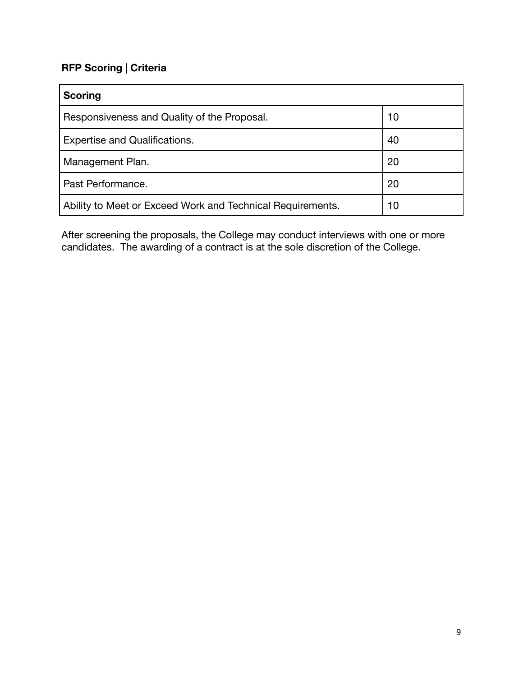# **RFP Scoring | Criteria**

| <b>Scoring</b>                                             |    |
|------------------------------------------------------------|----|
| Responsiveness and Quality of the Proposal.                | 10 |
| <b>Expertise and Qualifications.</b>                       | 40 |
| Management Plan.                                           | 20 |
| Past Performance.                                          | 20 |
| Ability to Meet or Exceed Work and Technical Requirements. | 10 |

After screening the proposals, the College may conduct interviews with one or more candidates. The awarding of a contract is at the sole discretion of the College.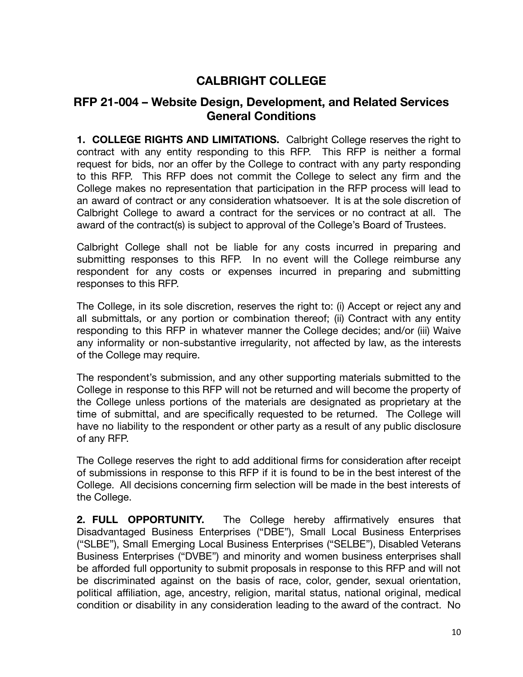# **CALBRIGHT COLLEGE**

# **RFP 21-004 – Website Design, Development, and Related Services General Conditions**

**1. COLLEGE RIGHTS AND LIMITATIONS.** Calbright College reserves the right to contract with any entity responding to this RFP. This RFP is neither a formal request for bids, nor an offer by the College to contract with any party responding to this RFP. This RFP does not commit the College to select any firm and the College makes no representation that participation in the RFP process will lead to an award of contract or any consideration whatsoever. It is at the sole discretion of Calbright College to award a contract for the services or no contract at all. The award of the contract(s) is subject to approval of the College's Board of Trustees.

Calbright College shall not be liable for any costs incurred in preparing and submitting responses to this RFP. In no event will the College reimburse any respondent for any costs or expenses incurred in preparing and submitting responses to this RFP.

The College, in its sole discretion, reserves the right to: (i) Accept or reject any and all submittals, or any portion or combination thereof; (ii) Contract with any entity responding to this RFP in whatever manner the College decides; and/or (iii) Waive any informality or non-substantive irregularity, not affected by law, as the interests of the College may require.

The respondent's submission, and any other supporting materials submitted to the College in response to this RFP will not be returned and will become the property of the College unless portions of the materials are designated as proprietary at the time of submittal, and are specifically requested to be returned. The College will have no liability to the respondent or other party as a result of any public disclosure of any RFP.

The College reserves the right to add additional firms for consideration after receipt of submissions in response to this RFP if it is found to be in the best interest of the College. All decisions concerning firm selection will be made in the best interests of the College.

**2. FULL OPPORTUNITY.** The College hereby affirmatively ensures that Disadvantaged Business Enterprises ("DBE"), Small Local Business Enterprises ("SLBE"), Small Emerging Local Business Enterprises ("SELBE"), Disabled Veterans Business Enterprises ("DVBE") and minority and women business enterprises shall be afforded full opportunity to submit proposals in response to this RFP and will not be discriminated against on the basis of race, color, gender, sexual orientation, political affiliation, age, ancestry, religion, marital status, national original, medical condition or disability in any consideration leading to the award of the contract. No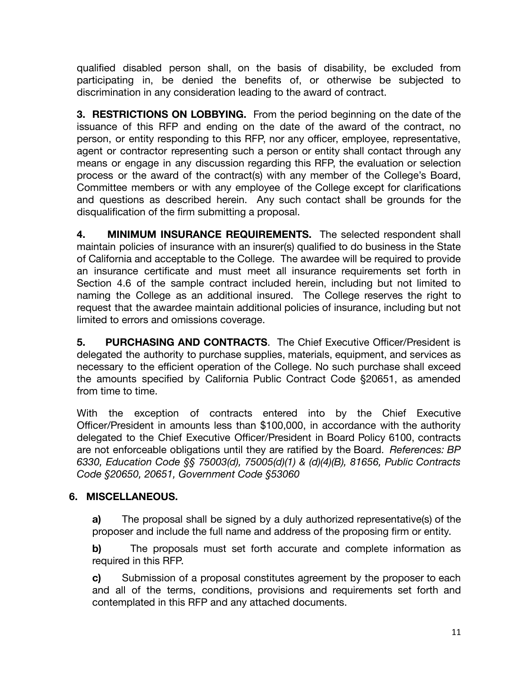qualified disabled person shall, on the basis of disability, be excluded from participating in, be denied the benefits of, or otherwise be subjected to discrimination in any consideration leading to the award of contract.

**3. RESTRICTIONS ON LOBBYING.** From the period beginning on the date of the issuance of this RFP and ending on the date of the award of the contract, no person, or entity responding to this RFP, nor any officer, employee, representative, agent or contractor representing such a person or entity shall contact through any means or engage in any discussion regarding this RFP, the evaluation or selection process or the award of the contract(s) with any member of the College's Board, Committee members or with any employee of the College except for clarifications and questions as described herein. Any such contact shall be grounds for the disqualification of the firm submitting a proposal.

**4. MINIMUM INSURANCE REQUIREMENTS.** The selected respondent shall maintain policies of insurance with an insurer(s) qualified to do business in the State of California and acceptable to the College. The awardee will be required to provide an insurance certificate and must meet all insurance requirements set forth in Section 4.6 of the sample contract included herein, including but not limited to naming the College as an additional insured. The College reserves the right to request that the awardee maintain additional policies of insurance, including but not limited to errors and omissions coverage.

**5. PURCHASING AND CONTRACTS**. The Chief Executive Officer/President is delegated the authority to purchase supplies, materials, equipment, and services as necessary to the efficient operation of the College. No such purchase shall exceed the amounts specified by California Public Contract Code §20651, as amended from time to time.

With the exception of contracts entered into by the Chief Executive Officer/President in amounts less than \$100,000, in accordance with the authority delegated to the Chief Executive Officer/President in Board Policy 6100, contracts are not enforceable obligations until they are ratified by the Board. *References: BP 6330, Education Code §§ 75003(d), 75005(d)(1) & (d)(4)(B), 81656, Public Contracts Code §20650, 20651, Government Code §53060*

# **6. MISCELLANEOUS.**

**a)** The proposal shall be signed by a duly authorized representative(s) of the proposer and include the full name and address of the proposing firm or entity.

**b)** The proposals must set forth accurate and complete information as required in this RFP.

**c)** Submission of a proposal constitutes agreement by the proposer to each and all of the terms, conditions, provisions and requirements set forth and contemplated in this RFP and any attached documents.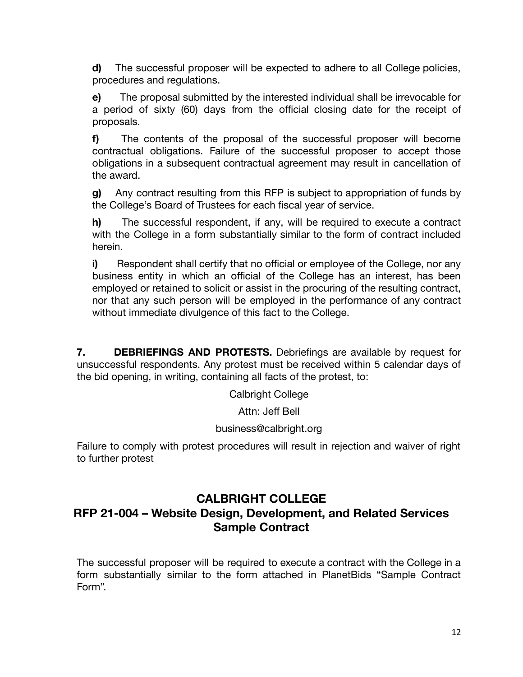**d)** The successful proposer will be expected to adhere to all College policies, procedures and regulations.

**e)** The proposal submitted by the interested individual shall be irrevocable for a period of sixty (60) days from the official closing date for the receipt of proposals.

**f)** The contents of the proposal of the successful proposer will become contractual obligations. Failure of the successful proposer to accept those obligations in a subsequent contractual agreement may result in cancellation of the award.

**g)** Any contract resulting from this RFP is subject to appropriation of funds by the College's Board of Trustees for each fiscal year of service.

**h)** The successful respondent, if any, will be required to execute a contract with the College in a form substantially similar to the form of contract included herein.

**i)** Respondent shall certify that no official or employee of the College, nor any business entity in which an official of the College has an interest, has been employed or retained to solicit or assist in the procuring of the resulting contract, nor that any such person will be employed in the performance of any contract without immediate divulgence of this fact to the College.

**7. DEBRIEFINGS AND PROTESTS.** Debriefings are available by request for unsuccessful respondents. Any protest must be received within 5 calendar days of the bid opening, in writing, containing all facts of the protest, to:

Calbright College

Attn: Jeff Bell

## business@calbright.org

Failure to comply with protest procedures will result in rejection and waiver of right to further protest

# **CALBRIGHT COLLEGE RFP 21-004 – Website Design, Development, and Related Services Sample Contract**

The successful proposer will be required to execute a contract with the College in a form substantially similar to the form attached in PlanetBids "Sample Contract Form".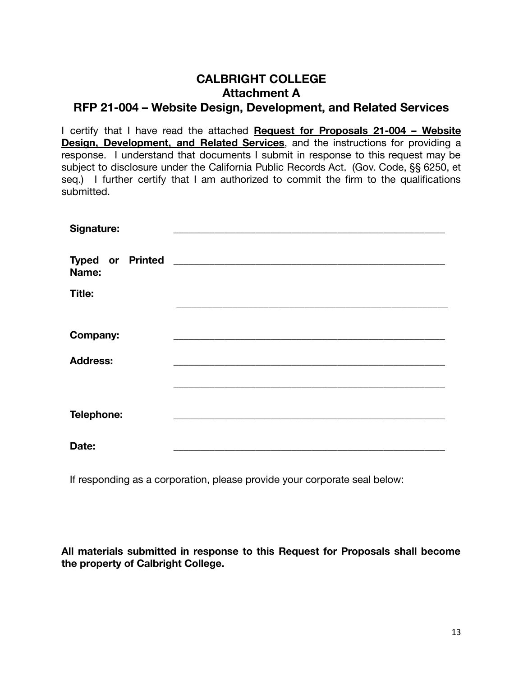# **CALBRIGHT COLLEGE Attachment A RFP 21-004 – Website Design, Development, and Related Services**

I certify that I have read the attached **Request for Proposals 21-004 – Website Design, Development, and Related Services**, and the instructions for providing a response. I understand that documents I submit in response to this request may be subject to disclosure under the California Public Records Act. (Gov. Code, §§ 6250, et seg.) I further certify that I am authorized to commit the firm to the qualifications submitted.

| Signature:      |  |
|-----------------|--|
| Name:           |  |
| Title:          |  |
|                 |  |
| <b>Company:</b> |  |
| <b>Address:</b> |  |
|                 |  |
|                 |  |
| Telephone:      |  |
|                 |  |
| Date:           |  |

If responding as a corporation, please provide your corporate seal below:

**All materials submitted in response to this Request for Proposals shall become the property of Calbright College.**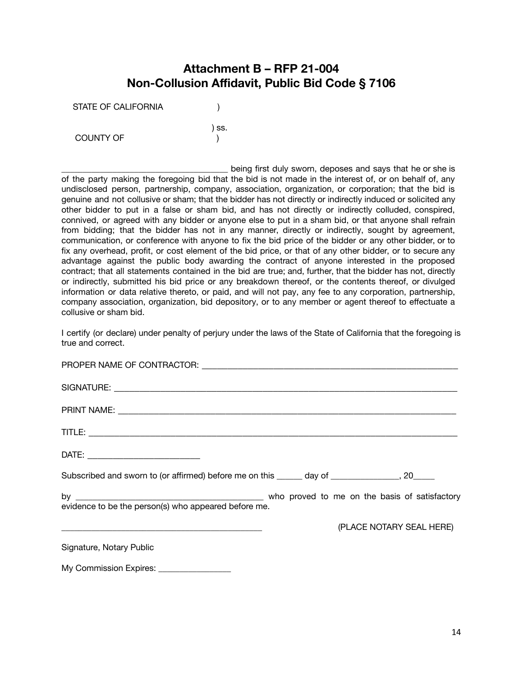# **Attachment B – RFP 21-004 Non-Collusion Affidavit, Public Bid Code § 7106**

) ss.

STATE OF CALIFORNIA (1)

COUNTY OF THE STATE OF THE STATE OF THE STATE OF THE STATE OF THE STATE OF THE STATE OF THE STATE OF THE STATE OF THE STATE OF THE STATE OF THE STATE OF THE STATE OF THE STATE OF THE STATE OF THE STATE OF THE STATE OF THE

being first duly sworn, deposes and says that he or she is of the party making the foregoing bid that the bid is not made in the interest of, or on behalf of, any undisclosed person, partnership, company, association, organization, or corporation; that the bid is genuine and not collusive or sham; that the bidder has not directly or indirectly induced or solicited any other bidder to put in a false or sham bid, and has not directly or indirectly colluded, conspired, connived, or agreed with any bidder or anyone else to put in a sham bid, or that anyone shall refrain from bidding; that the bidder has not in any manner, directly or indirectly, sought by agreement, communication, or conference with anyone to fix the bid price of the bidder or any other bidder, or to fix any overhead, profit, or cost element of the bid price, or that of any other bidder, or to secure any advantage against the public body awarding the contract of anyone interested in the proposed contract; that all statements contained in the bid are true; and, further, that the bidder has not, directly or indirectly, submitted his bid price or any breakdown thereof, or the contents thereof, or divulged information or data relative thereto, or paid, and will not pay, any fee to any corporation, partnership, company association, organization, bid depository, or to any member or agent thereof to effectuate a collusive or sham bid.

I certify (or declare) under penalty of perjury under the laws of the State of California that the foregoing is true and correct.

| Subscribed and sworn to (or affirmed) before me on this ______ day of _______________, 20_____ |  |  |                          |
|------------------------------------------------------------------------------------------------|--|--|--------------------------|
| evidence to be the person(s) who appeared before me.                                           |  |  |                          |
|                                                                                                |  |  | (PLACE NOTARY SEAL HERE) |
| Signature, Notary Public                                                                       |  |  |                          |
| My Commission Expires: ________________                                                        |  |  |                          |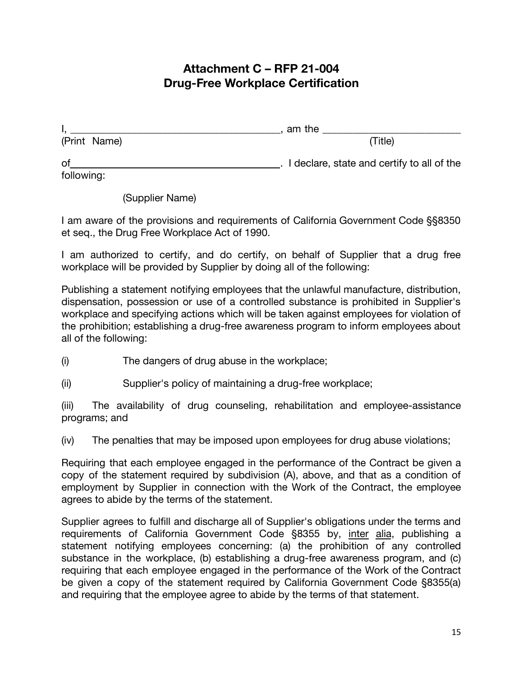# **Attachment C – RFP 21-004 Drug-Free Workplace Certification**

|              | am the                                     |
|--------------|--------------------------------------------|
| (Print Name) | (Title)                                    |
| <b>of</b>    | I declare, state and certify to all of the |
| following:   |                                            |

(Supplier Name)

I am aware of the provisions and requirements of California Government Code §§8350 et seq., the Drug Free Workplace Act of 1990.

I am authorized to certify, and do certify, on behalf of Supplier that a drug free workplace will be provided by Supplier by doing all of the following:

Publishing a statement notifying employees that the unlawful manufacture, distribution, dispensation, possession or use of a controlled substance is prohibited in Supplier's workplace and specifying actions which will be taken against employees for violation of the prohibition; establishing a drug-free awareness program to inform employees about all of the following:

(i) The dangers of drug abuse in the workplace;

(ii) Supplier's policy of maintaining a drug-free workplace;

(iii) The availability of drug counseling, rehabilitation and employee-assistance programs; and

(iv) The penalties that may be imposed upon employees for drug abuse violations;

Requiring that each employee engaged in the performance of the Contract be given a copy of the statement required by subdivision (A), above, and that as a condition of employment by Supplier in connection with the Work of the Contract, the employee agrees to abide by the terms of the statement.

Supplier agrees to fulfill and discharge all of Supplier's obligations under the terms and requirements of California Government Code §8355 by, inter alia, publishing a statement notifying employees concerning: (a) the prohibition of any controlled substance in the workplace, (b) establishing a drug-free awareness program, and (c) requiring that each employee engaged in the performance of the Work of the Contract be given a copy of the statement required by California Government Code §8355(a) and requiring that the employee agree to abide by the terms of that statement.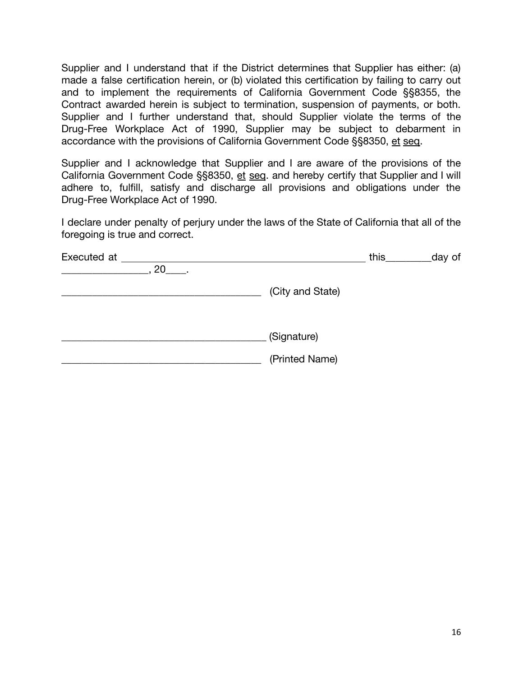Supplier and I understand that if the District determines that Supplier has either: (a) made a false certification herein, or (b) violated this certification by failing to carry out and to implement the requirements of California Government Code §§8355, the Contract awarded herein is subject to termination, suspension of payments, or both. Supplier and I further understand that, should Supplier violate the terms of the Drug-Free Workplace Act of 1990, Supplier may be subject to debarment in accordance with the provisions of California Government Code §§8350, et seq.

Supplier and I acknowledge that Supplier and I are aware of the provisions of the California Government Code §§8350, et seq. and hereby certify that Supplier and I will adhere to, fulfill, satisfy and discharge all provisions and obligations under the Drug-Free Workplace Act of 1990.

I declare under penalty of perjury under the laws of the State of California that all of the foregoing is true and correct.

| Executed at |    |                  | this | day of |
|-------------|----|------------------|------|--------|
|             | 20 |                  |      |        |
|             |    | (City and State) |      |        |
|             |    | (Signature)      |      |        |
|             |    | (Printed Name)   |      |        |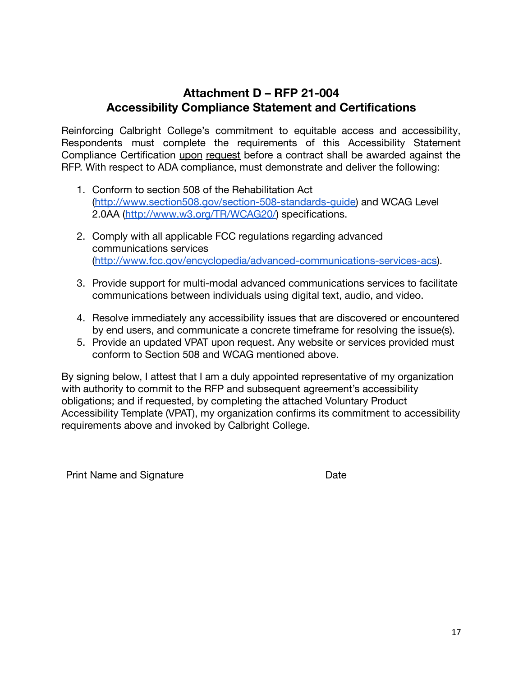# **Attachment D – RFP 21-004 Accessibility Compliance Statement and Certifications**

Reinforcing Calbright College's commitment to equitable access and accessibility, Respondents must complete the requirements of this Accessibility Statement Compliance Certification upon request before a contract shall be awarded against the RFP. With respect to ADA compliance, must demonstrate and deliver the following:

- 1. Conform to section 508 of the Rehabilitation Act [\(http://www.section508.gov/section-508-standards-guide\)](http://www.section508.gov/section-508-standards-guide) and WCAG Level 2.0AA (<http://www.w3.org/TR/WCAG20/>) specifications.
- 2. Comply with all applicable FCC regulations regarding advanced communications services [\(http://www.fcc.gov/encyclopedia/advanced-communications-services-acs\)](http://www.fcc.gov/encyclopedia/advanced-communications-services-acs).
- 3. Provide support for multi-modal advanced communications services to facilitate communications between individuals using digital text, audio, and video.
- 4. Resolve immediately any accessibility issues that are discovered or encountered by end users, and communicate a concrete timeframe for resolving the issue(s).
- 5. Provide an updated VPAT upon request. Any website or services provided must conform to Section 508 and WCAG mentioned above.

By signing below, I attest that I am a duly appointed representative of my organization with authority to commit to the RFP and subsequent agreement's accessibility obligations; and if requested, by completing the attached Voluntary Product Accessibility Template (VPAT), my organization confirms its commitment to accessibility requirements above and invoked by Calbright College.

Print Name and Signature **Date** Date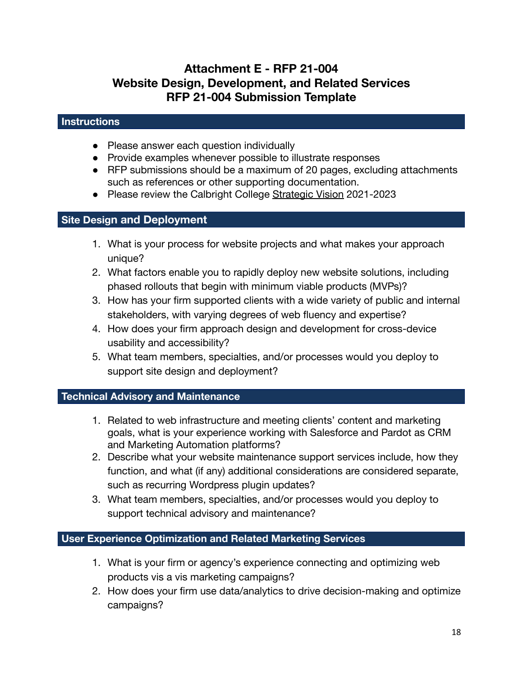# **Attachment E - RFP 21-004 Website Design, Development, and Related Services RFP 21-004 Submission Template**

#### **Instructions**

- Please answer each question individually
- Provide examples whenever possible to illustrate responses
- RFP submissions should be a maximum of 20 pages, excluding attachments such as references or other supporting documentation.
- Please review the Calbright College [Strategic Vision](https://www.calbright.org/wp-content/uploads/2021/04/calbright_strategic_vision_2021-23-1.pdf) 2021-2023

# **Site Design and Deployment**

- 1. What is your process for website projects and what makes your approach unique?
- 2. What factors enable you to rapidly deploy new website solutions, including phased rollouts that begin with minimum viable products (MVPs)?
- 3. How has your firm supported clients with a wide variety of public and internal stakeholders, with varying degrees of web fluency and expertise?
- 4. How does your firm approach design and development for cross-device usability and accessibility?
- 5. What team members, specialties, and/or processes would you deploy to support site design and deployment?

## **Technical Advisory and Maintenance**

- 1. Related to web infrastructure and meeting clients' content and marketing goals, what is your experience working with Salesforce and Pardot as CRM and Marketing Automation platforms?
- 2. Describe what your website maintenance support services include, how they function, and what (if any) additional considerations are considered separate, such as recurring Wordpress plugin updates?
- 3. What team members, specialties, and/or processes would you deploy to support technical advisory and maintenance?

## **User Experience Optimization and Related Marketing Services**

- 1. What is your firm or agency's experience connecting and optimizing web products vis a vis marketing campaigns?
- 2. How does your firm use data/analytics to drive decision-making and optimize campaigns?